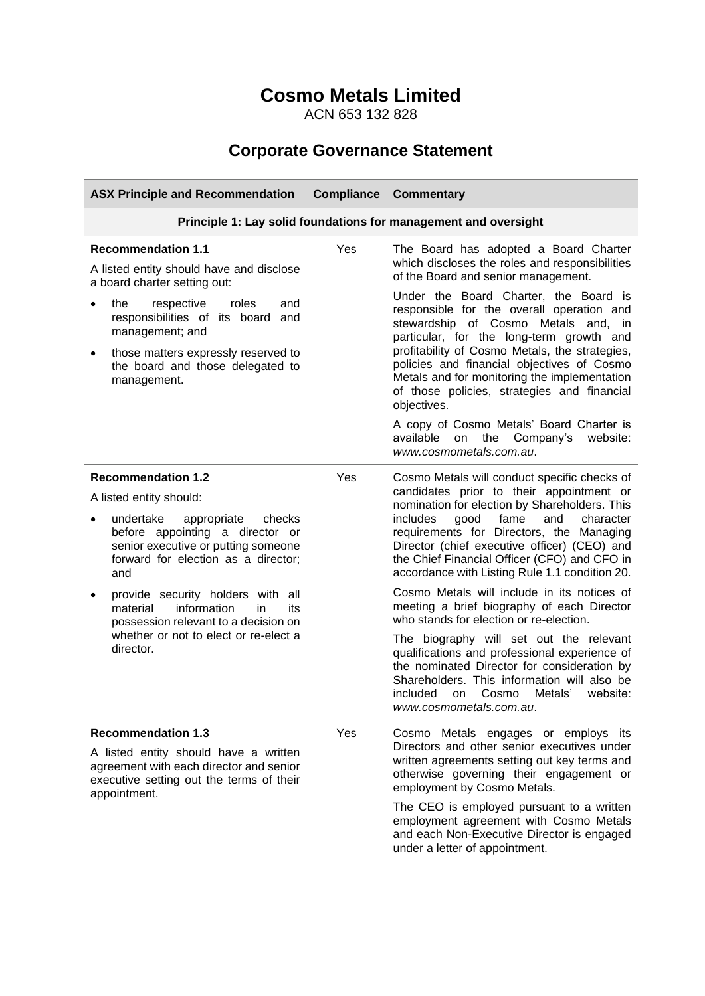# **Cosmo Metals Limited**

ACN 653 132 828

# **Corporate Governance Statement**

| <b>ASX Principle and Recommendation</b>                                                                                                                                                                                                                                                                                                                                                        | <b>Compliance</b> | <b>Commentary</b>                                                                                                                                                                                                                                                                                                                                                                                                                                                                                                                                                                                                                                                                                                                                                                                             |  |
|------------------------------------------------------------------------------------------------------------------------------------------------------------------------------------------------------------------------------------------------------------------------------------------------------------------------------------------------------------------------------------------------|-------------------|---------------------------------------------------------------------------------------------------------------------------------------------------------------------------------------------------------------------------------------------------------------------------------------------------------------------------------------------------------------------------------------------------------------------------------------------------------------------------------------------------------------------------------------------------------------------------------------------------------------------------------------------------------------------------------------------------------------------------------------------------------------------------------------------------------------|--|
| Principle 1: Lay solid foundations for management and oversight                                                                                                                                                                                                                                                                                                                                |                   |                                                                                                                                                                                                                                                                                                                                                                                                                                                                                                                                                                                                                                                                                                                                                                                                               |  |
| <b>Recommendation 1.1</b><br>A listed entity should have and disclose<br>a board charter setting out:<br>the<br>respective<br>roles<br>and<br>$\bullet$                                                                                                                                                                                                                                        | Yes               | The Board has adopted a Board Charter<br>which discloses the roles and responsibilities<br>of the Board and senior management.<br>Under the Board Charter, the Board is<br>responsible for the overall operation and                                                                                                                                                                                                                                                                                                                                                                                                                                                                                                                                                                                          |  |
| responsibilities of its board<br>and<br>management; and<br>those matters expressly reserved to<br>the board and those delegated to<br>management.                                                                                                                                                                                                                                              |                   | stewardship of Cosmo Metals and, in<br>particular, for the long-term growth and<br>profitability of Cosmo Metals, the strategies,<br>policies and financial objectives of Cosmo<br>Metals and for monitoring the implementation<br>of those policies, strategies and financial<br>objectives.                                                                                                                                                                                                                                                                                                                                                                                                                                                                                                                 |  |
|                                                                                                                                                                                                                                                                                                                                                                                                |                   | A copy of Cosmo Metals' Board Charter is<br>available on the Company's<br>website:<br>www.cosmometals.com.au.                                                                                                                                                                                                                                                                                                                                                                                                                                                                                                                                                                                                                                                                                                 |  |
| <b>Recommendation 1.2</b><br>A listed entity should:<br>undertake<br>appropriate<br>checks<br>before appointing a director or<br>senior executive or putting someone<br>forward for election as a director;<br>and<br>provide security holders with all<br>information<br>material<br>in.<br>its<br>possession relevant to a decision on<br>whether or not to elect or re-elect a<br>director. | Yes               | Cosmo Metals will conduct specific checks of<br>candidates prior to their appointment or<br>nomination for election by Shareholders. This<br>fame<br>and<br>character<br><i>includes</i><br>good<br>requirements for Directors, the Managing<br>Director (chief executive officer) (CEO) and<br>the Chief Financial Officer (CFO) and CFO in<br>accordance with Listing Rule 1.1 condition 20.<br>Cosmo Metals will include in its notices of<br>meeting a brief biography of each Director<br>who stands for election or re-election.<br>The biography will set out the relevant<br>qualifications and professional experience of<br>the nominated Director for consideration by<br>Shareholders. This information will also be<br>Cosmo<br>Metals'<br>included<br>on<br>website:<br>www.cosmometals.com.au. |  |
| <b>Recommendation 1.3</b><br>A listed entity should have a written<br>agreement with each director and senior<br>executive setting out the terms of their<br>appointment.                                                                                                                                                                                                                      | Yes               | Cosmo Metals engages or employs its<br>Directors and other senior executives under<br>written agreements setting out key terms and<br>otherwise governing their engagement or<br>employment by Cosmo Metals.<br>The CEO is employed pursuant to a written<br>employment agreement with Cosmo Metals<br>and each Non-Executive Director is engaged<br>under a letter of appointment.                                                                                                                                                                                                                                                                                                                                                                                                                           |  |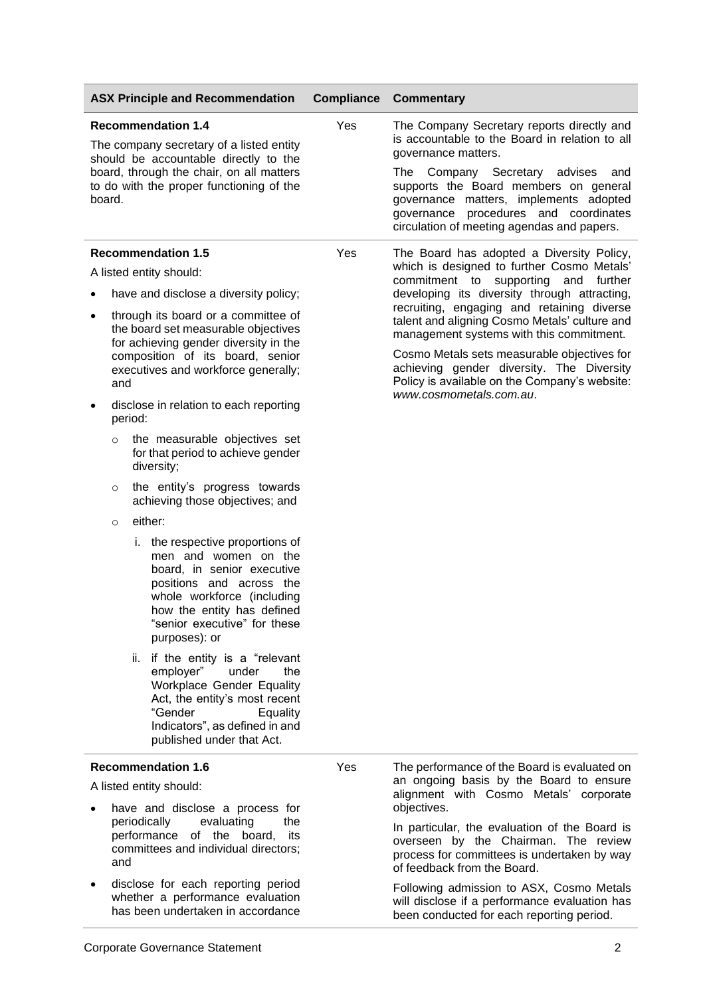| <b>ASX Principle and Recommendation</b>                                                                                                                                                                          |                                                                                                                                                                                                                                                 | <b>Compliance</b> | <b>Commentary</b>                                                                                                                                                                                                                                                 |
|------------------------------------------------------------------------------------------------------------------------------------------------------------------------------------------------------------------|-------------------------------------------------------------------------------------------------------------------------------------------------------------------------------------------------------------------------------------------------|-------------------|-------------------------------------------------------------------------------------------------------------------------------------------------------------------------------------------------------------------------------------------------------------------|
| <b>Recommendation 1.4</b><br>The company secretary of a listed entity<br>should be accountable directly to the<br>board, through the chair, on all matters<br>to do with the proper functioning of the<br>board. |                                                                                                                                                                                                                                                 | Yes               | The Company Secretary reports directly and<br>is accountable to the Board in relation to all                                                                                                                                                                      |
|                                                                                                                                                                                                                  |                                                                                                                                                                                                                                                 |                   | governance matters.<br>Company Secretary advises<br>The<br>and<br>supports the Board members on general<br>governance matters, implements adopted<br>governance procedures and coordinates<br>circulation of meeting agendas and papers.                          |
|                                                                                                                                                                                                                  | <b>Recommendation 1.5</b>                                                                                                                                                                                                                       | Yes               | The Board has adopted a Diversity Policy,                                                                                                                                                                                                                         |
|                                                                                                                                                                                                                  | A listed entity should:                                                                                                                                                                                                                         |                   | which is designed to further Cosmo Metals'<br>commitment to<br>supporting and<br>further                                                                                                                                                                          |
| $\bullet$                                                                                                                                                                                                        | have and disclose a diversity policy;                                                                                                                                                                                                           |                   | developing its diversity through attracting,<br>recruiting, engaging and retaining diverse                                                                                                                                                                        |
| ٠                                                                                                                                                                                                                | through its board or a committee of<br>the board set measurable objectives<br>for achieving gender diversity in the<br>composition of its board, senior<br>executives and workforce generally;<br>and<br>disclose in relation to each reporting |                   | talent and aligning Cosmo Metals' culture and<br>management systems with this commitment.<br>Cosmo Metals sets measurable objectives for<br>achieving gender diversity. The Diversity<br>Policy is available on the Company's website:<br>www.cosmometals.com.au. |
|                                                                                                                                                                                                                  | period:                                                                                                                                                                                                                                         |                   |                                                                                                                                                                                                                                                                   |
|                                                                                                                                                                                                                  | the measurable objectives set<br>$\circ$<br>for that period to achieve gender<br>diversity;                                                                                                                                                     |                   |                                                                                                                                                                                                                                                                   |
|                                                                                                                                                                                                                  | the entity's progress towards<br>$\circ$<br>achieving those objectives; and                                                                                                                                                                     |                   |                                                                                                                                                                                                                                                                   |
|                                                                                                                                                                                                                  | either:<br>$\circ$                                                                                                                                                                                                                              |                   |                                                                                                                                                                                                                                                                   |
|                                                                                                                                                                                                                  | i. the respective proportions of<br>men and women on the<br>board, in senior executive<br>positions and across the<br>whole workforce (including<br>how the entity has defined<br>"senior executive" for these<br>purposes): or                 |                   |                                                                                                                                                                                                                                                                   |
|                                                                                                                                                                                                                  | if the entity is a "relevant<br>ii.<br>employer"<br>under<br>the<br>Workplace Gender Equality<br>Act, the entity's most recent<br>"Gender<br>Equality<br>Indicators", as defined in and<br>published under that Act.                            |                   |                                                                                                                                                                                                                                                                   |
| <b>Recommendation 1.6</b>                                                                                                                                                                                        |                                                                                                                                                                                                                                                 | Yes               | The performance of the Board is evaluated on                                                                                                                                                                                                                      |
|                                                                                                                                                                                                                  | A listed entity should:<br>have and disclose a process for                                                                                                                                                                                      |                   | an ongoing basis by the Board to ensure<br>alignment with Cosmo Metals' corporate<br>objectives.                                                                                                                                                                  |
|                                                                                                                                                                                                                  | periodically<br>evaluating<br>the<br>performance of the board,<br>its<br>committees and individual directors;<br>and                                                                                                                            |                   |                                                                                                                                                                                                                                                                   |
|                                                                                                                                                                                                                  | disclose for each reporting period<br>whether a performance evaluation<br>has been undertaken in accordance                                                                                                                                     |                   | Following admission to ASX, Cosmo Metals<br>will disclose if a performance evaluation has<br>been conducted for each reporting period.                                                                                                                            |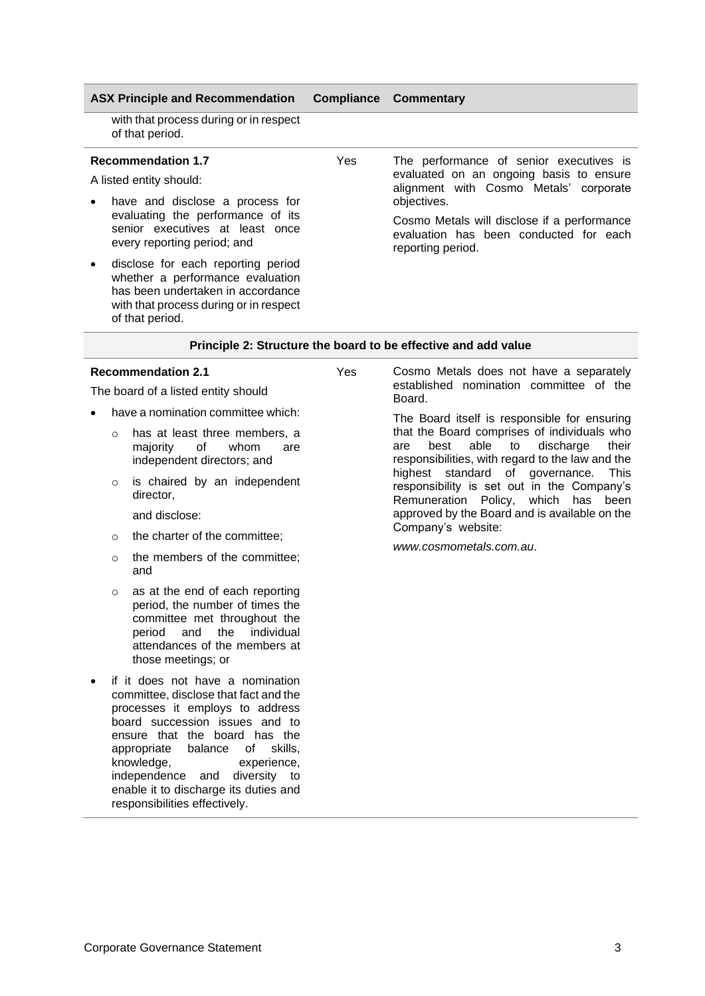with that process during or in respect of that period.

## **Recommendation 1.7**

A listed entity should:

- have and disclose a process for evaluating the performance of its senior executives at least once every reporting period; and
- disclose for each reporting period whether a performance evaluation has been undertaken in accordance with that process during or in respect of that period.

Yes The performance of senior executives is evaluated on an ongoing basis to ensure alignment with Cosmo Metals' corporate objectives.

> Cosmo Metals will disclose if a performance evaluation has been conducted for each reporting period.

#### **Principle 2: Structure the board to be effective and add value**

## **Recommendation 2.1**

The board of a listed entity should

- have a nomination committee which:
	- o has at least three members, a majority of whom are independent directors; and
	- o is chaired by an independent director,
		- and disclose:
	- o the charter of the committee;
	- o the members of the committee; and
	- o as at the end of each reporting period, the number of times the committee met throughout the period and the individual attendances of the members at those meetings; or
- if it does not have a nomination committee, disclose that fact and the processes it employs to address board succession issues and to ensure that the board has the appropriate balance of skills, knowledge, experience, independence and diversity to enable it to discharge its duties and responsibilities effectively.

Yes Cosmo Metals does not have a separately established nomination committee of the Board.

> The Board itself is responsible for ensuring that the Board comprises of individuals who are best able to discharge their responsibilities, with regard to the law and the highest standard of governance. This responsibility is set out in the Company's Remuneration Policy, which has been approved by the Board and is available on the Company's website:

*[www.cosmometals.com.au](http://www.starminerals.com.au/)*.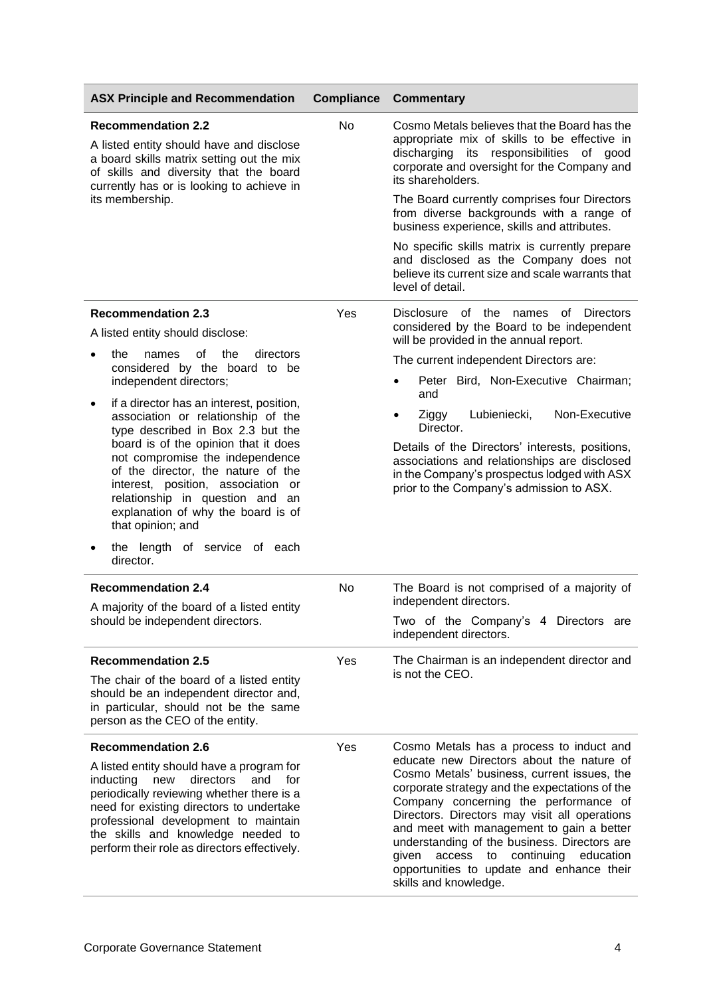| <b>ASX Principle and Recommendation</b>                                                                                                                                                                                                                                                                                                                                                                                                                                                                                                            | <b>Compliance</b> | <b>Commentary</b>                                                                                                                                                                                                                                                                                                                                                                                                                                                                                                          |  |
|----------------------------------------------------------------------------------------------------------------------------------------------------------------------------------------------------------------------------------------------------------------------------------------------------------------------------------------------------------------------------------------------------------------------------------------------------------------------------------------------------------------------------------------------------|-------------------|----------------------------------------------------------------------------------------------------------------------------------------------------------------------------------------------------------------------------------------------------------------------------------------------------------------------------------------------------------------------------------------------------------------------------------------------------------------------------------------------------------------------------|--|
| <b>Recommendation 2.2</b><br>A listed entity should have and disclose<br>a board skills matrix setting out the mix<br>of skills and diversity that the board<br>currently has or is looking to achieve in<br>its membership.                                                                                                                                                                                                                                                                                                                       | <b>No</b>         | Cosmo Metals believes that the Board has the<br>appropriate mix of skills to be effective in<br>discharging its responsibilities of good<br>corporate and oversight for the Company and<br>its shareholders.<br>The Board currently comprises four Directors<br>from diverse backgrounds with a range of<br>business experience, skills and attributes.<br>No specific skills matrix is currently prepare<br>and disclosed as the Company does not<br>believe its current size and scale warrants that<br>level of detail. |  |
| <b>Recommendation 2.3</b><br>A listed entity should disclose:                                                                                                                                                                                                                                                                                                                                                                                                                                                                                      | Yes               | Disclosure of the names<br>of Directors<br>considered by the Board to be independent                                                                                                                                                                                                                                                                                                                                                                                                                                       |  |
| the<br>of<br>the<br>directors<br>names                                                                                                                                                                                                                                                                                                                                                                                                                                                                                                             |                   | will be provided in the annual report.<br>The current independent Directors are:                                                                                                                                                                                                                                                                                                                                                                                                                                           |  |
| considered by the board to be<br>independent directors;                                                                                                                                                                                                                                                                                                                                                                                                                                                                                            |                   | Peter Bird, Non-Executive Chairman;<br>and                                                                                                                                                                                                                                                                                                                                                                                                                                                                                 |  |
| if a director has an interest, position,<br>$\bullet$<br>association or relationship of the<br>type described in Box 2.3 but the<br>board is of the opinion that it does<br>not compromise the independence<br>of the director, the nature of the<br>interest, position, association or<br>relationship in question and an<br>explanation of why the board is of<br>that opinion; and<br>the length of service of each<br>director.<br><b>Recommendation 2.4</b><br>A majority of the board of a listed entity<br>should be independent directors. | No                | Non-Executive<br>Lubieniecki,<br>Ziggy<br>$\bullet$<br>Director.<br>Details of the Directors' interests, positions,<br>associations and relationships are disclosed<br>in the Company's prospectus lodged with ASX<br>prior to the Company's admission to ASX.<br>The Board is not comprised of a majority of<br>independent directors.<br>Two of the Company's 4 Directors are<br>independent directors.                                                                                                                  |  |
| <b>Recommendation 2.5</b>                                                                                                                                                                                                                                                                                                                                                                                                                                                                                                                          | Yes               | The Chairman is an independent director and                                                                                                                                                                                                                                                                                                                                                                                                                                                                                |  |
| The chair of the board of a listed entity<br>should be an independent director and,<br>in particular, should not be the same<br>person as the CEO of the entity.                                                                                                                                                                                                                                                                                                                                                                                   |                   | is not the CEO.                                                                                                                                                                                                                                                                                                                                                                                                                                                                                                            |  |
| <b>Recommendation 2.6</b>                                                                                                                                                                                                                                                                                                                                                                                                                                                                                                                          | Yes               | Cosmo Metals has a process to induct and                                                                                                                                                                                                                                                                                                                                                                                                                                                                                   |  |
| A listed entity should have a program for<br>inducting<br>new<br>directors<br>and<br>for<br>periodically reviewing whether there is a<br>need for existing directors to undertake<br>professional development to maintain<br>the skills and knowledge needed to<br>perform their role as directors effectively.                                                                                                                                                                                                                                    |                   | educate new Directors about the nature of<br>Cosmo Metals' business, current issues, the<br>corporate strategy and the expectations of the<br>Company concerning the performance of<br>Directors. Directors may visit all operations<br>and meet with management to gain a better<br>understanding of the business. Directors are<br>access to continuing<br>education<br>qiven<br>opportunities to update and enhance their<br>skills and knowledge.                                                                      |  |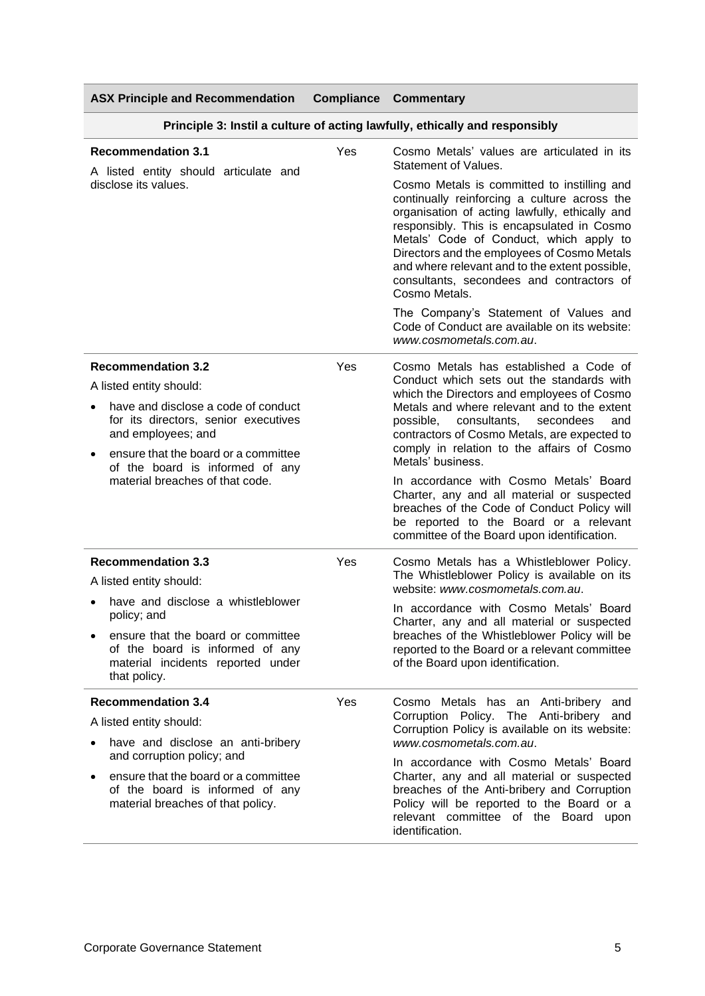| <b>ASX Principle and Recommendation</b>                                                                                    |     | <b>Compliance Commentary</b>                                                                                                                                                                                                                                                                                                                                                                          |  |
|----------------------------------------------------------------------------------------------------------------------------|-----|-------------------------------------------------------------------------------------------------------------------------------------------------------------------------------------------------------------------------------------------------------------------------------------------------------------------------------------------------------------------------------------------------------|--|
| Principle 3: Instil a culture of acting lawfully, ethically and responsibly                                                |     |                                                                                                                                                                                                                                                                                                                                                                                                       |  |
| <b>Recommendation 3.1</b><br>A listed entity should articulate and                                                         | Yes | Cosmo Metals' values are articulated in its<br>Statement of Values.                                                                                                                                                                                                                                                                                                                                   |  |
| disclose its values.                                                                                                       |     | Cosmo Metals is committed to instilling and<br>continually reinforcing a culture across the<br>organisation of acting lawfully, ethically and<br>responsibly. This is encapsulated in Cosmo<br>Metals' Code of Conduct, which apply to<br>Directors and the employees of Cosmo Metals<br>and where relevant and to the extent possible,<br>consultants, secondees and contractors of<br>Cosmo Metals. |  |
|                                                                                                                            |     | The Company's Statement of Values and<br>Code of Conduct are available on its website:<br>www.cosmometals.com.au.                                                                                                                                                                                                                                                                                     |  |
| <b>Recommendation 3.2</b>                                                                                                  | Yes | Cosmo Metals has established a Code of                                                                                                                                                                                                                                                                                                                                                                |  |
| A listed entity should:                                                                                                    |     | Conduct which sets out the standards with<br>which the Directors and employees of Cosmo                                                                                                                                                                                                                                                                                                               |  |
| have and disclose a code of conduct<br>for its directors, senior executives<br>and employees; and                          |     | Metals and where relevant and to the extent<br>consultants,<br>possible,<br>secondees<br>and<br>contractors of Cosmo Metals, are expected to                                                                                                                                                                                                                                                          |  |
| ensure that the board or a committee<br>of the board is informed of any                                                    |     | comply in relation to the affairs of Cosmo<br>Metals' business.                                                                                                                                                                                                                                                                                                                                       |  |
| material breaches of that code.                                                                                            |     | In accordance with Cosmo Metals' Board<br>Charter, any and all material or suspected<br>breaches of the Code of Conduct Policy will<br>be reported to the Board or a relevant<br>committee of the Board upon identification.                                                                                                                                                                          |  |
| <b>Recommendation 3.3</b>                                                                                                  | Yes | Cosmo Metals has a Whistleblower Policy.<br>The Whistleblower Policy is available on its<br>website: www.cosmometals.com.au.                                                                                                                                                                                                                                                                          |  |
| A listed entity should:                                                                                                    |     |                                                                                                                                                                                                                                                                                                                                                                                                       |  |
| have and disclose a whistleblower<br>policy; and                                                                           |     | In accordance with Cosmo Metals' Board<br>Charter, any and all material or suspected                                                                                                                                                                                                                                                                                                                  |  |
| ensure that the board or committee<br>of the board is informed of any<br>material incidents reported under<br>that policy. |     | breaches of the Whistleblower Policy will be<br>reported to the Board or a relevant committee<br>of the Board upon identification.                                                                                                                                                                                                                                                                    |  |
| <b>Recommendation 3.4</b>                                                                                                  | Yes | Cosmo Metals has an Anti-bribery<br>and                                                                                                                                                                                                                                                                                                                                                               |  |
| A listed entity should:<br>have and disclose an anti-bribery                                                               |     | Corruption Policy. The Anti-bribery<br>and<br>Corruption Policy is available on its website:<br>www.cosmometals.com.au.                                                                                                                                                                                                                                                                               |  |
| and corruption policy; and                                                                                                 |     | In accordance with Cosmo Metals' Board                                                                                                                                                                                                                                                                                                                                                                |  |
| ensure that the board or a committee<br>٠<br>of the board is informed of any<br>material breaches of that policy.          |     | Charter, any and all material or suspected<br>breaches of the Anti-bribery and Corruption<br>Policy will be reported to the Board or a<br>relevant committee of the Board upon<br>identification.                                                                                                                                                                                                     |  |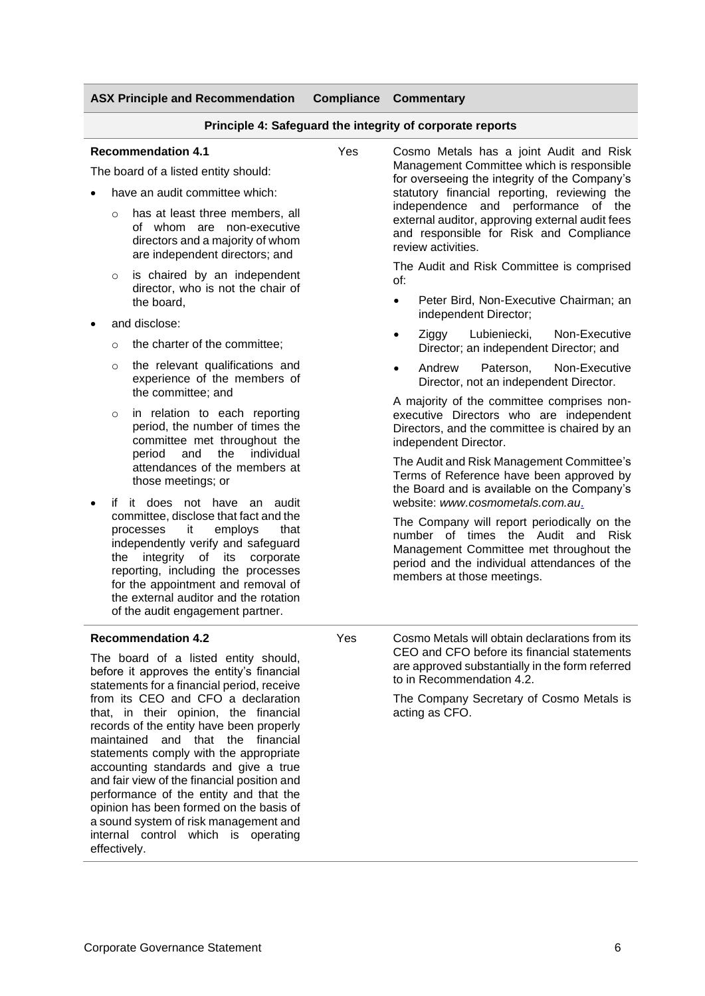## **Principle 4: Safeguard the integrity of corporate reports**

### **Recommendation 4.1**

The board of a listed entity should:

- have an audit committee which:
	- o has at least three members, all of whom are non-executive directors and a majority of whom are independent directors; and
	- is chaired by an independent director, who is not the chair of the board,
- and disclose:
	- $\circ$  the charter of the committee:
	- o the relevant qualifications and experience of the members of the committee; and
	- o in relation to each reporting period, the number of times the committee met throughout the period and the individual attendances of the members at those meetings; or
- if it does not have an audit committee, disclose that fact and the processes it employs that independently verify and safeguard the integrity of its corporate reporting, including the processes for the appointment and removal of the external auditor and the rotation of the audit engagement partner.

## **Recommendation 4.2**

The board of a listed entity should, before it approves the entity's financial statements for a financial period, receive from its CEO and CFO a declaration that, in their opinion, the financial records of the entity have been properly maintained and that the financial statements comply with the appropriate accounting standards and give a true and fair view of the financial position and performance of the entity and that the opinion has been formed on the basis of a sound system of risk management and internal control which is operating effectively.

Yes Cosmo Metals has a joint Audit and Risk Management Committee which is responsible for overseeing the integrity of the Company's statutory financial reporting, reviewing the independence and performance of the external auditor, approving external audit fees and responsible for Risk and Compliance review activities.

> The Audit and Risk Committee is comprised of:

- Peter Bird, Non-Executive Chairman; an independent Director;
- Ziggy Lubieniecki, Non-Executive Director; an independent Director; and
- Andrew Paterson, Non-Executive Director, not an independent Director.

A majority of the committee comprises nonexecutive Directors who are independent Directors, and the committee is chaired by an independent Director.

The Audit and Risk Management Committee's Terms of Reference have been approved by the Board and is available on the Company's website: *[www.cosmometals.com.au](http://www.starminerals.com.au/)*.

The Company will report periodically on the number of times the Audit and Risk Management Committee met throughout the period and the individual attendances of the members at those meetings.

Yes Cosmo Metals will obtain declarations from its CEO and CFO before its financial statements are approved substantially in the form referred to in Recommendation 4.2.

> The Company Secretary of Cosmo Metals is acting as CFO.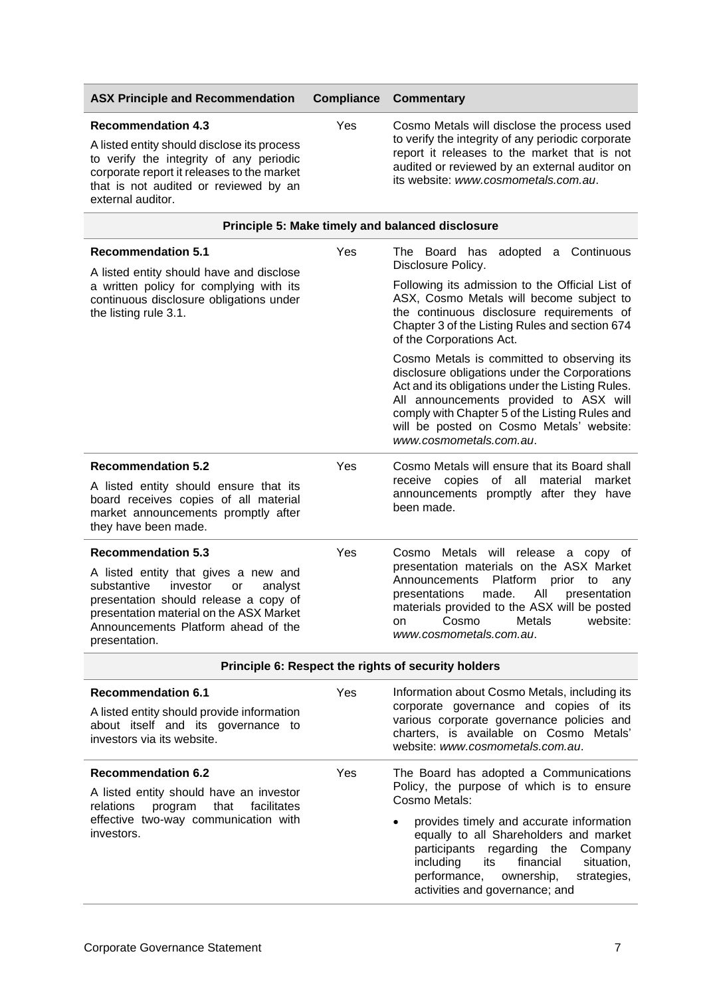| <b>ASX Principle and Recommendation</b>                                                                                                                                                                                                                   | <b>Compliance</b> | <b>Commentary</b>                                                                                                                                                                                                                                                                                                                                                    |
|-----------------------------------------------------------------------------------------------------------------------------------------------------------------------------------------------------------------------------------------------------------|-------------------|----------------------------------------------------------------------------------------------------------------------------------------------------------------------------------------------------------------------------------------------------------------------------------------------------------------------------------------------------------------------|
| <b>Recommendation 4.3</b><br>A listed entity should disclose its process<br>to verify the integrity of any periodic<br>corporate report it releases to the market<br>that is not audited or reviewed by an<br>external auditor.                           | Yes               | Cosmo Metals will disclose the process used<br>to verify the integrity of any periodic corporate<br>report it releases to the market that is not<br>audited or reviewed by an external auditor on<br>its website: www.cosmometals.com.au.                                                                                                                            |
|                                                                                                                                                                                                                                                           |                   | Principle 5: Make timely and balanced disclosure                                                                                                                                                                                                                                                                                                                     |
| <b>Recommendation 5.1</b>                                                                                                                                                                                                                                 | Yes               | has adopted a Continuous<br>The Board<br>Disclosure Policy.                                                                                                                                                                                                                                                                                                          |
| A listed entity should have and disclose<br>a written policy for complying with its<br>continuous disclosure obligations under<br>the listing rule 3.1.                                                                                                   |                   | Following its admission to the Official List of<br>ASX, Cosmo Metals will become subject to<br>the continuous disclosure requirements of<br>Chapter 3 of the Listing Rules and section 674<br>of the Corporations Act.                                                                                                                                               |
|                                                                                                                                                                                                                                                           |                   | Cosmo Metals is committed to observing its<br>disclosure obligations under the Corporations<br>Act and its obligations under the Listing Rules.<br>All announcements provided to ASX will<br>comply with Chapter 5 of the Listing Rules and<br>will be posted on Cosmo Metals' website:<br>www.cosmometals.com.au.                                                   |
| <b>Recommendation 5.2</b><br>A listed entity should ensure that its<br>board receives copies of all material<br>market announcements promptly after<br>they have been made.                                                                               | Yes               | Cosmo Metals will ensure that its Board shall<br>receive copies of all<br>material<br>market<br>announcements promptly after they have<br>been made.                                                                                                                                                                                                                 |
| <b>Recommendation 5.3</b><br>A listed entity that gives a new and<br>substantive<br>investor<br>or<br>analyst<br>presentation should release a copy of<br>presentation material on the ASX Market<br>Announcements Platform ahead of the<br>presentation. | Yes               | Cosmo Metals will release a copy of<br>presentation materials on the ASX Market<br>Platform<br>prior<br>Announcements<br>to<br>any<br>All<br>presentations<br>made.<br>presentation<br>materials provided to the ASX will be posted<br>Cosmo<br>Metals<br>website:<br>on<br>www.cosmometals.com.au.                                                                  |
|                                                                                                                                                                                                                                                           |                   | Principle 6: Respect the rights of security holders                                                                                                                                                                                                                                                                                                                  |
| <b>Recommendation 6.1</b><br>A listed entity should provide information<br>about itself and its governance to<br>investors via its website.                                                                                                               | Yes               | Information about Cosmo Metals, including its<br>corporate governance and copies of its<br>various corporate governance policies and<br>charters, is available on Cosmo Metals'<br>website: www.cosmometals.com.au.                                                                                                                                                  |
| <b>Recommendation 6.2</b><br>A listed entity should have an investor<br>facilitates<br>program<br>that<br>relations<br>effective two-way communication with<br>investors.                                                                                 | Yes               | The Board has adopted a Communications<br>Policy, the purpose of which is to ensure<br>Cosmo Metals:<br>provides timely and accurate information<br>equally to all Shareholders and market<br>participants<br>regarding the<br>Company<br>including<br>financial<br>situation,<br>its<br>performance,<br>ownership,<br>strategies,<br>activities and governance; and |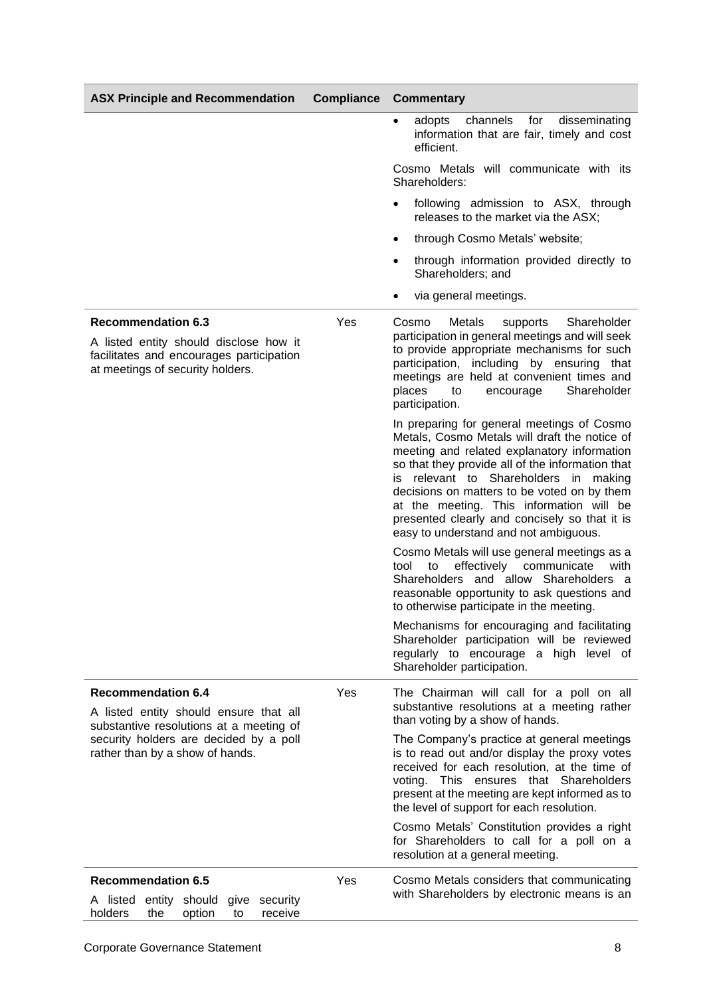| <b>ASX Principle and Recommendation</b>                                                                                                                                                     | <b>Compliance</b> | <b>Commentary</b>                                                                                                                                                                                                                                                                                                                                                                                                            |  |
|---------------------------------------------------------------------------------------------------------------------------------------------------------------------------------------------|-------------------|------------------------------------------------------------------------------------------------------------------------------------------------------------------------------------------------------------------------------------------------------------------------------------------------------------------------------------------------------------------------------------------------------------------------------|--|
|                                                                                                                                                                                             |                   | channels<br>for<br>disseminating<br>adopts<br>$\bullet$<br>information that are fair, timely and cost<br>efficient.                                                                                                                                                                                                                                                                                                          |  |
|                                                                                                                                                                                             |                   | Cosmo Metals will communicate with its<br>Shareholders:                                                                                                                                                                                                                                                                                                                                                                      |  |
|                                                                                                                                                                                             |                   | following admission to ASX, through<br>$\bullet$<br>releases to the market via the ASX;                                                                                                                                                                                                                                                                                                                                      |  |
|                                                                                                                                                                                             |                   | through Cosmo Metals' website;<br>$\bullet$                                                                                                                                                                                                                                                                                                                                                                                  |  |
|                                                                                                                                                                                             |                   | through information provided directly to<br>٠<br>Shareholders; and                                                                                                                                                                                                                                                                                                                                                           |  |
|                                                                                                                                                                                             |                   | via general meetings.<br>$\bullet$                                                                                                                                                                                                                                                                                                                                                                                           |  |
| <b>Recommendation 6.3</b><br>A listed entity should disclose how it<br>facilitates and encourages participation<br>at meetings of security holders.                                         | Yes               | Cosmo<br>Metals<br>Shareholder<br>supports<br>participation in general meetings and will seek<br>to provide appropriate mechanisms for such<br>participation, including by ensuring that<br>meetings are held at convenient times and<br>places<br>Shareholder<br>encourage<br>to<br>participation.                                                                                                                          |  |
|                                                                                                                                                                                             |                   | In preparing for general meetings of Cosmo<br>Metals, Cosmo Metals will draft the notice of<br>meeting and related explanatory information<br>so that they provide all of the information that<br>is relevant to Shareholders in making<br>decisions on matters to be voted on by them<br>at the meeting. This information will be<br>presented clearly and concisely so that it is<br>easy to understand and not ambiguous. |  |
|                                                                                                                                                                                             |                   | Cosmo Metals will use general meetings as a<br>effectively<br>tool<br>to<br>communicate<br>with<br>Shareholders and allow Shareholders a<br>reasonable opportunity to ask questions and<br>to otherwise participate in the meeting.                                                                                                                                                                                          |  |
|                                                                                                                                                                                             |                   | Mechanisms for encouraging and facilitating<br>Shareholder participation will be reviewed<br>regularly to encourage a high level of<br>Shareholder participation.                                                                                                                                                                                                                                                            |  |
| <b>Recommendation 6.4</b><br>A listed entity should ensure that all<br>substantive resolutions at a meeting of<br>security holders are decided by a poll<br>rather than by a show of hands. | Yes               | The Chairman will call for a poll on all<br>substantive resolutions at a meeting rather<br>than voting by a show of hands.                                                                                                                                                                                                                                                                                                   |  |
|                                                                                                                                                                                             |                   | The Company's practice at general meetings<br>is to read out and/or display the proxy votes<br>received for each resolution, at the time of<br>This ensures that Shareholders<br>voting.<br>present at the meeting are kept informed as to<br>the level of support for each resolution.                                                                                                                                      |  |
|                                                                                                                                                                                             |                   | Cosmo Metals' Constitution provides a right<br>for Shareholders to call for a poll on a<br>resolution at a general meeting.                                                                                                                                                                                                                                                                                                  |  |
| <b>Recommendation 6.5</b><br>A listed entity should<br>give security<br>holders<br>option<br>receive<br>the<br>to                                                                           | Yes               | Cosmo Metals considers that communicating<br>with Shareholders by electronic means is an                                                                                                                                                                                                                                                                                                                                     |  |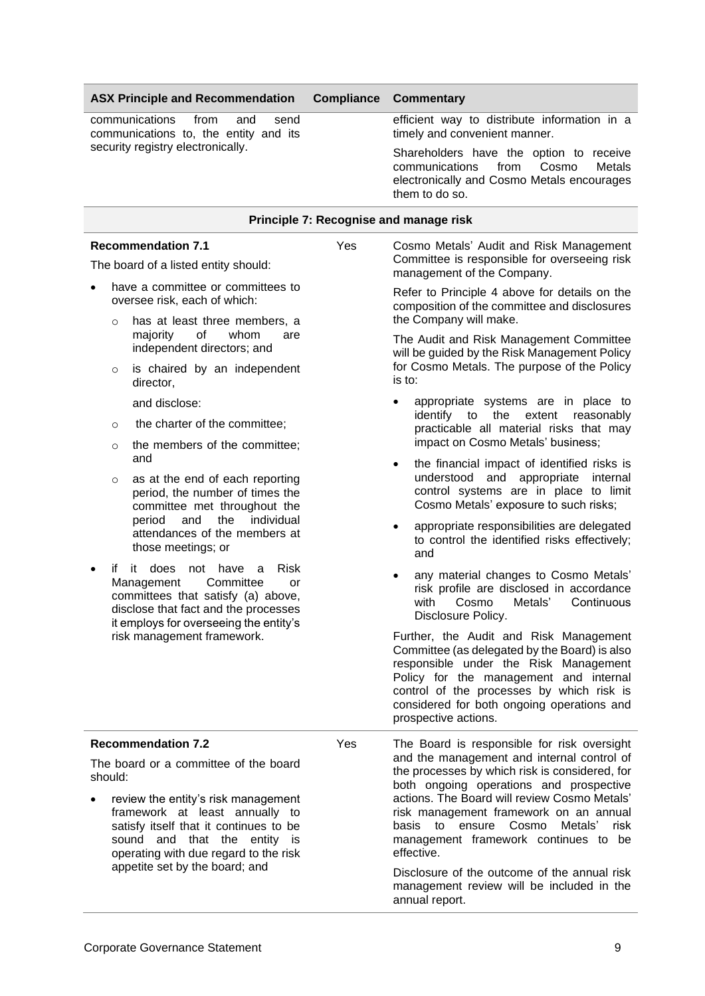communications from and send communications to, the entity and its security registry electronically.

## efficient way to distribute information in a timely and convenient manner.

Shareholders have the option to receive communications from Cosmo Metals electronically and Cosmo Metals encourages them to do so.

## **Principle 7: Recognise and manage risk**

## **Recommendation 7.1**

The board of a listed entity should:

- have a committee or committees to oversee risk, each of which:
	- o has at least three members, a majority of whom are independent directors; and
	- o is chaired by an independent director,
		- and disclose:
	- the charter of the committee:
	- o the members of the committee; and
	- o as at the end of each reporting period, the number of times the committee met throughout the period and the individual attendances of the members at those meetings; or
- if it does not have a Risk Management Committee or committees that satisfy (a) above, disclose that fact and the processes it employs for overseeing the entity's risk management framework.

## **Recommendation 7.2**

The board or a committee of the board should:

review the entity's risk management framework at least annually to satisfy itself that it continues to be sound and that the entity is operating with due regard to the risk appetite set by the board; and

Yes Cosmo Metals' Audit and Risk Management Committee is responsible for overseeing risk management of the Company.

> Refer to Principle 4 above for details on the composition of the committee and disclosures the Company will make.

> The Audit and Risk Management Committee will be guided by the Risk Management Policy for Cosmo Metals. The purpose of the Policy is to:

- appropriate systems are in place to identify to the extent reasonably practicable all material risks that may impact on Cosmo Metals' business;
- the financial impact of identified risks is understood and appropriate internal control systems are in place to limit Cosmo Metals' exposure to such risks;
- appropriate responsibilities are delegated to control the identified risks effectively; and
- any material changes to Cosmo Metals' risk profile are disclosed in accordance with Cosmo Metals' Continuous Disclosure Policy.

Further, the Audit and Risk Management Committee (as delegated by the Board) is also responsible under the Risk Management Policy for the management and internal control of the processes by which risk is considered for both ongoing operations and prospective actions.

Yes The Board is responsible for risk oversight and the management and internal control of the processes by which risk is considered, for both ongoing operations and prospective actions. The Board will review Cosmo Metals' risk management framework on an annual basis to ensure Cosmo Metals' risk management framework continues to be effective.

> Disclosure of the outcome of the annual risk management review will be included in the annual report.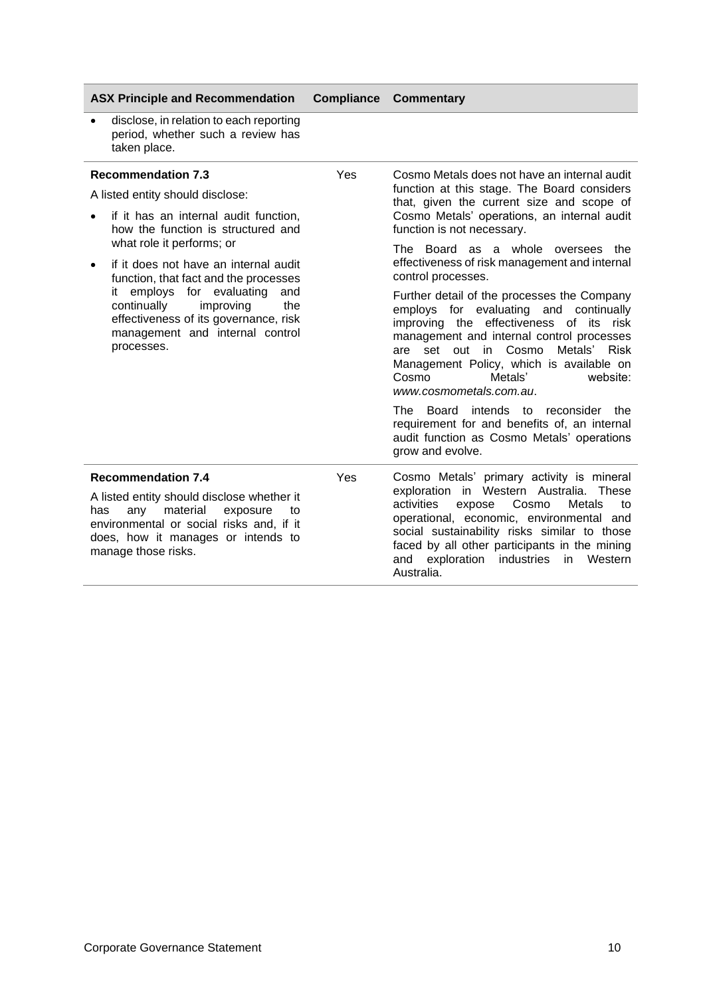| <b>ASX Principle and Recommendation</b> |  | <b>Compliance Commentary</b> |
|-----------------------------------------|--|------------------------------|
|-----------------------------------------|--|------------------------------|

• disclose, in relation to each reporting period, whether such a review has taken place.

| <b>Recommendation 7.3</b><br>A listed entity should disclose:                                                                                                                                   | Yes | Cosmo Metals does not have an internal audit<br>function at this stage. The Board considers<br>that, given the current size and scope of                                                                                                                                                                                  |
|-------------------------------------------------------------------------------------------------------------------------------------------------------------------------------------------------|-----|---------------------------------------------------------------------------------------------------------------------------------------------------------------------------------------------------------------------------------------------------------------------------------------------------------------------------|
| if it has an internal audit function,<br>how the function is structured and                                                                                                                     |     | Cosmo Metals' operations, an internal audit<br>function is not necessary.                                                                                                                                                                                                                                                 |
| what role it performs; or<br>if it does not have an internal audit<br>function, that fact and the processes                                                                                     |     | The Board as a whole oversees the<br>effectiveness of risk management and internal<br>control processes.                                                                                                                                                                                                                  |
| it employs for evaluating<br>and<br>continually<br>improving<br>the<br>effectiveness of its governance, risk<br>management and internal control<br>processes.                                   |     | Further detail of the processes the Company<br>employs for evaluating and continually<br>improving the effectiveness of its risk<br>management and internal control processes<br>are set out in Cosmo Metals' Risk<br>Management Policy, which is available on<br>Metals'<br>Cosmo<br>website:<br>www.cosmometals.com.au. |
|                                                                                                                                                                                                 |     | The Board intends to reconsider the<br>requirement for and benefits of, an internal<br>audit function as Cosmo Metals' operations<br>grow and evolve.                                                                                                                                                                     |
| <b>Recommendation 7.4</b>                                                                                                                                                                       | Yes | Cosmo Metals' primary activity is mineral                                                                                                                                                                                                                                                                                 |
| A listed entity should disclose whether it<br>material<br>any<br>exposure<br>has<br>to<br>environmental or social risks and, if it<br>does, how it manages or intends to<br>manage those risks. |     | exploration in Western Australia. These<br>Cosmo<br>activities<br>Metals<br>expose<br>to<br>operational, economic, environmental and<br>social sustainability risks similar to those<br>faced by all other participants in the mining<br>exploration<br>industries<br>in<br>Western<br>and<br>Australia.                  |